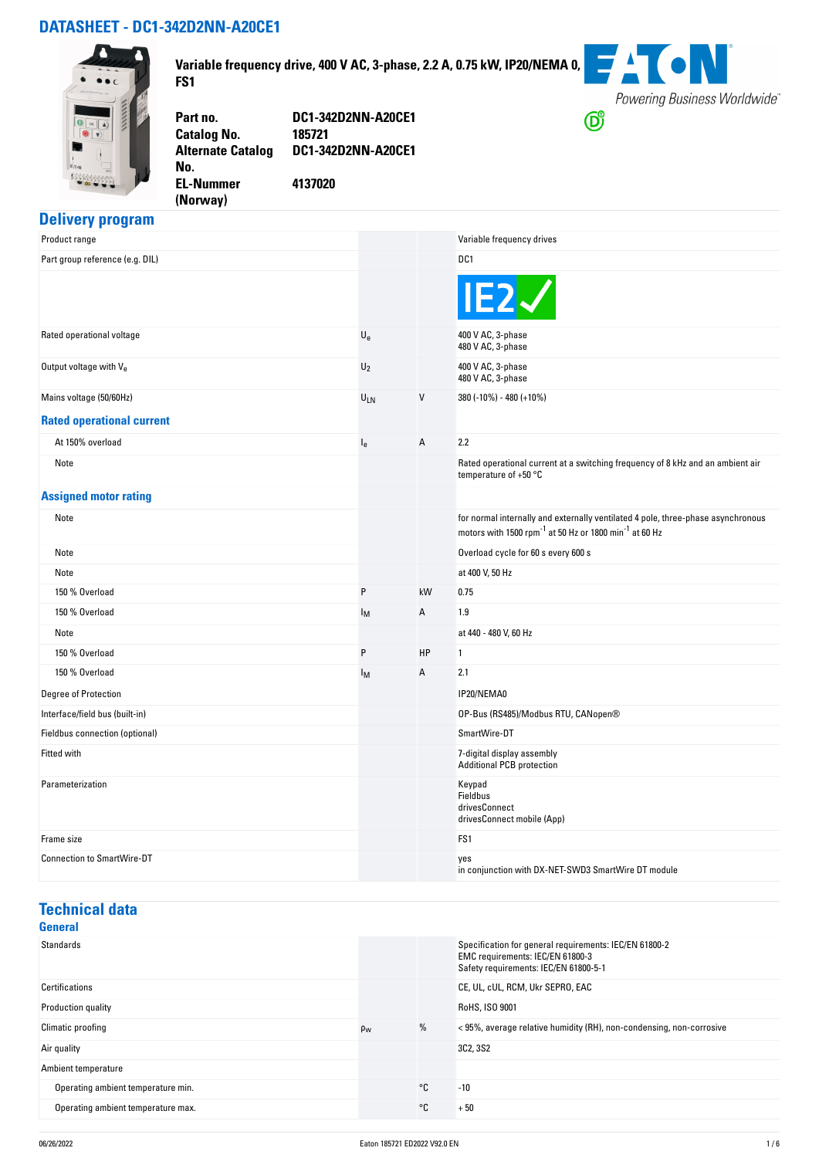#### **DATASHEET - DC1-342D2NN-A20CE1**



**Variable frequency drive, 400 V AC, 3-phase, 2.2 A, 0.75 kW, IP20/NEMA 0, FS1**



**Catalog No. Alternate Catalog No. EL-Nummer**

**Part no. DC1-342D2NN-A20CE1 DC1-342D2NN-A20CE1**

**(Norway)** 

**4137020**

### **Delivery program**

| Product range                     |                           |              | Variable frequency drives                                                                                                                                          |
|-----------------------------------|---------------------------|--------------|--------------------------------------------------------------------------------------------------------------------------------------------------------------------|
| Part group reference (e.g. DIL)   |                           |              | DC1                                                                                                                                                                |
|                                   |                           |              | IE2                                                                                                                                                                |
| Rated operational voltage         | $\mathsf{U}_{\mathsf{e}}$ |              | 400 V AC, 3-phase<br>480 V AC, 3-phase                                                                                                                             |
| Output voltage with Ve            | $U_2$                     |              | 400 V AC, 3-phase<br>480 V AC, 3-phase                                                                                                                             |
| Mains voltage (50/60Hz)           | ULN                       | $\mathsf{V}$ | 380 (-10%) - 480 (+10%)                                                                                                                                            |
| <b>Rated operational current</b>  |                           |              |                                                                                                                                                                    |
| At 150% overload                  | $I_{e}$                   | А            | 2.2                                                                                                                                                                |
| Note                              |                           |              | Rated operational current at a switching frequency of 8 kHz and an ambient air<br>temperature of +50 °C                                                            |
| <b>Assigned motor rating</b>      |                           |              |                                                                                                                                                                    |
| Note                              |                           |              | for normal internally and externally ventilated 4 pole, three-phase asynchronous<br>motors with 1500 rpm <sup>-1</sup> at 50 Hz or 1800 min <sup>-1</sup> at 60 Hz |
| Note                              |                           |              | Overload cycle for 60 s every 600 s                                                                                                                                |
| Note                              |                           |              | at 400 V, 50 Hz                                                                                                                                                    |
| 150 % Overload                    | P                         | kW           | 0.75                                                                                                                                                               |
| 150 % Overload                    | I <sub>M</sub>            | А            | 1.9                                                                                                                                                                |
| Note                              |                           |              | at 440 - 480 V, 60 Hz                                                                                                                                              |
| 150 % Overload                    | P                         | HP           | 1                                                                                                                                                                  |
| 150 % Overload                    | Iм.                       | А            | 2.1                                                                                                                                                                |
| Degree of Protection              |                           |              | IP20/NEMA0                                                                                                                                                         |
| Interface/field bus (built-in)    |                           |              | OP-Bus (RS485)/Modbus RTU, CANopen®                                                                                                                                |
| Fieldbus connection (optional)    |                           |              | SmartWire-DT                                                                                                                                                       |
| Fitted with                       |                           |              | 7-digital display assembly<br><b>Additional PCB protection</b>                                                                                                     |
| Parameterization                  |                           |              | Keypad<br>Fieldbus<br>drivesConnect<br>drivesConnect mobile (App)                                                                                                  |
| Frame size                        |                           |              | FS1                                                                                                                                                                |
| <b>Connection to SmartWire-DT</b> |                           |              | yes<br>in conjunction with DX-NET-SWD3 SmartWire DT module                                                                                                         |

### **Technical data**

| <b>General</b>                     |                |      |                                                                                                                                     |
|------------------------------------|----------------|------|-------------------------------------------------------------------------------------------------------------------------------------|
| <b>Standards</b>                   |                |      | Specification for general requirements: IEC/EN 61800-2<br>EMC requirements: IEC/EN 61800-3<br>Safety requirements: IEC/EN 61800-5-1 |
| Certifications                     |                |      | CE, UL, cUL, RCM, Ukr SEPRO, EAC                                                                                                    |
| Production quality                 |                |      | RoHS, ISO 9001                                                                                                                      |
| Climatic proofing                  | $\rho_{\rm w}$ | $\%$ | < 95%, average relative humidity (RH), non-condensing, non-corrosive                                                                |
| Air quality                        |                |      | 3C2, 3S2                                                                                                                            |
| Ambient temperature                |                |      |                                                                                                                                     |
| Operating ambient temperature min. |                | ∘c   | $-10$                                                                                                                               |
| Operating ambient temperature max. |                | ∘c   | $+50$                                                                                                                               |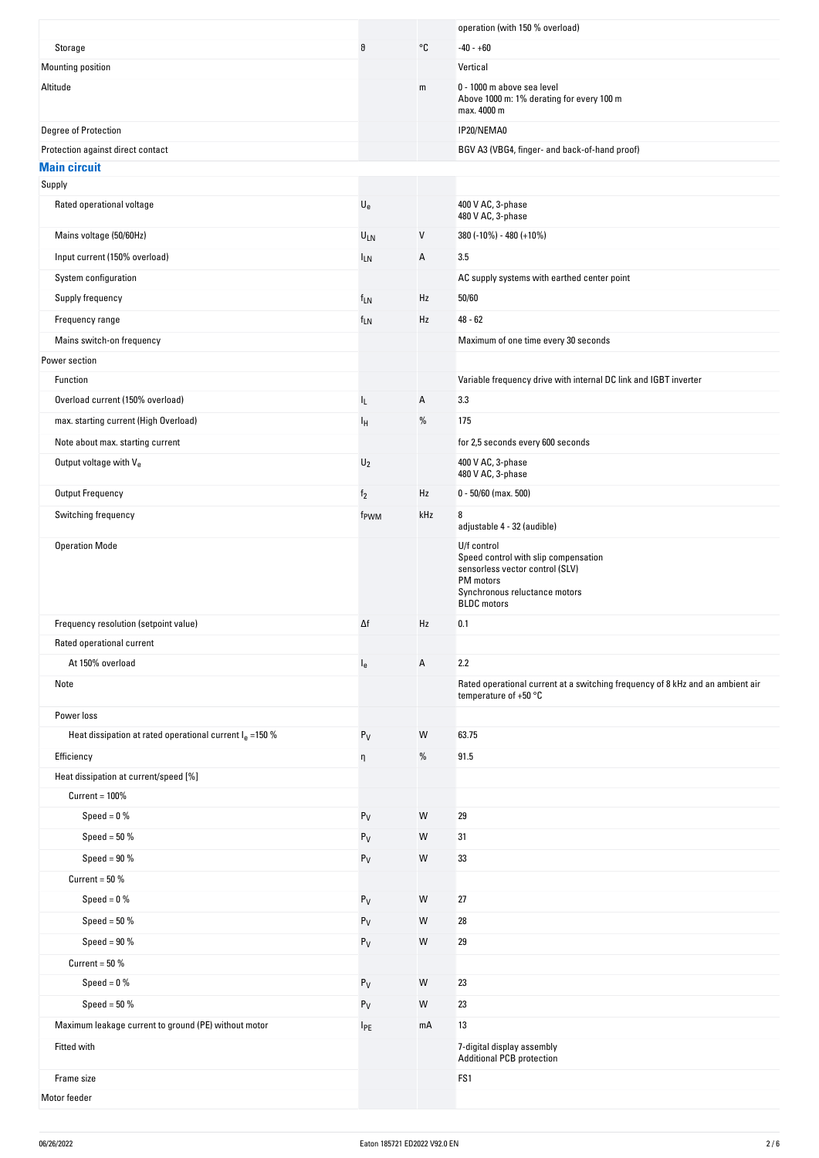|                                                           |                           |     | operation (with 150 % overload)                                                                                                                            |
|-----------------------------------------------------------|---------------------------|-----|------------------------------------------------------------------------------------------------------------------------------------------------------------|
| Storage                                                   | θ                         | °C  | $-40 - +60$                                                                                                                                                |
| Mounting position                                         |                           |     | Vertical                                                                                                                                                   |
| Altitude                                                  |                           | m   | 0 - 1000 m above sea level<br>Above 1000 m: 1% derating for every 100 m<br>max. 4000 m                                                                     |
| Degree of Protection                                      |                           |     | IP20/NEMA0                                                                                                                                                 |
| Protection against direct contact                         |                           |     | BGV A3 (VBG4, finger- and back-of-hand proof)                                                                                                              |
| <b>Main circuit</b>                                       |                           |     |                                                                                                                                                            |
| Supply                                                    |                           |     |                                                                                                                                                            |
| Rated operational voltage                                 | $\mathsf{U}_{\mathrm{e}}$ |     | 400 V AC, 3-phase<br>480 V AC, 3-phase                                                                                                                     |
| Mains voltage (50/60Hz)                                   | $U_{LN}$                  | V   | 380 (-10%) - 480 (+10%)                                                                                                                                    |
| Input current (150% overload)                             | <sup>I</sup> LN           | А   | 3.5                                                                                                                                                        |
| System configuration                                      |                           |     | AC supply systems with earthed center point                                                                                                                |
| Supply frequency                                          | $f_{LN}$                  | Hz  | 50/60                                                                                                                                                      |
| Frequency range                                           | $f_{LN}$                  | Hz  | $48 - 62$                                                                                                                                                  |
| Mains switch-on frequency                                 |                           |     | Maximum of one time every 30 seconds                                                                                                                       |
| Power section                                             |                           |     |                                                                                                                                                            |
| Function                                                  |                           |     | Variable frequency drive with internal DC link and IGBT inverter                                                                                           |
| Overload current (150% overload)                          | IL.                       | Α   | 3.3                                                                                                                                                        |
| max. starting current (High Overload)                     | Iн                        | %   | 175                                                                                                                                                        |
| Note about max. starting current                          |                           |     | for 2,5 seconds every 600 seconds                                                                                                                          |
| Output voltage with $V_{e}$                               | $U_2$                     |     | 400 V AC, 3-phase                                                                                                                                          |
|                                                           |                           |     | 480 V AC, 3-phase                                                                                                                                          |
| <b>Output Frequency</b>                                   | f <sub>2</sub>            | Hz  | $0 - 50/60$ (max. 500)                                                                                                                                     |
| Switching frequency                                       | f <sub>PWM</sub>          | kHz | 8<br>adjustable 4 - 32 (audible)                                                                                                                           |
| <b>Operation Mode</b>                                     |                           |     | U/f control<br>Speed control with slip compensation<br>sensorless vector control (SLV)<br>PM motors<br>Synchronous reluctance motors<br><b>BLDC</b> motors |
| Frequency resolution (setpoint value)                     | Δf                        | Hz  | 0.1                                                                                                                                                        |
| Rated operational current                                 |                           |     |                                                                                                                                                            |
| At 150% overload                                          | $I_{e}$                   | Α   | 2.2                                                                                                                                                        |
| Note                                                      |                           |     | Rated operational current at a switching frequency of 8 kHz and an ambient air<br>temperature of $+50$ °C                                                  |
| Power loss                                                |                           |     |                                                                                                                                                            |
| Heat dissipation at rated operational current $Ie$ =150 % | $P_V$                     | W   | 63.75                                                                                                                                                      |
| Efficiency                                                | η                         | %   | 91.5                                                                                                                                                       |
| Heat dissipation at current/speed [%]                     |                           |     |                                                                                                                                                            |
| $Current = 100\%$                                         |                           |     |                                                                                                                                                            |
| Speed = $0\%$                                             | $P_V$                     | W   | 29                                                                                                                                                         |
| Speed = $50%$                                             | $P_V$                     | W   | 31                                                                                                                                                         |
| Speed = $90\%$                                            | $P_V$                     | W   | 33                                                                                                                                                         |
| Current = $50\%$                                          |                           |     |                                                                                                                                                            |
| Speed = $0\%$                                             | $\mathsf{P}_\mathsf{V}$   | W   | 27                                                                                                                                                         |
| Speed = $50\%$                                            | $P_V$                     | W   | 28                                                                                                                                                         |
| Speed = $90%$                                             | $P_V$                     | W   | 29                                                                                                                                                         |
| Current = $50%$                                           |                           |     |                                                                                                                                                            |
| Speed = $0\%$                                             | $P_V$                     | W   | 23                                                                                                                                                         |
| Speed = $50\%$                                            | $P_V$                     | W   | 23                                                                                                                                                         |
| Maximum leakage current to ground (PE) without motor      |                           | mA  | 13                                                                                                                                                         |
|                                                           | $I_{PE}$                  |     |                                                                                                                                                            |
| Fitted with                                               |                           |     | 7-digital display assembly<br><b>Additional PCB protection</b>                                                                                             |
| Frame size                                                |                           |     | FS1                                                                                                                                                        |
| Motor feeder                                              |                           |     |                                                                                                                                                            |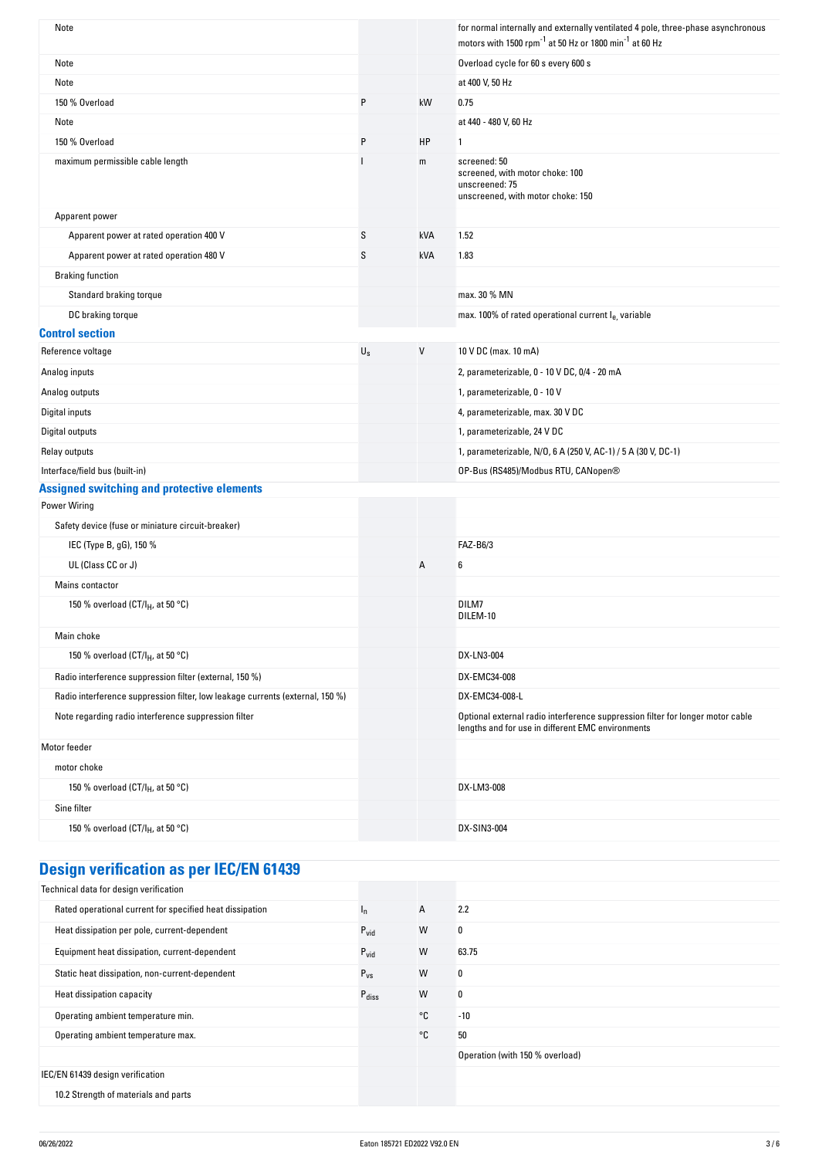| Note                                                                          |             |     | for normal internally and externally ventilated 4 pole, three-phase asynchronous<br>motors with 1500 rpm <sup>-1</sup> at 50 Hz or 1800 min <sup>-1</sup> at 60 Hz |
|-------------------------------------------------------------------------------|-------------|-----|--------------------------------------------------------------------------------------------------------------------------------------------------------------------|
| Note                                                                          |             |     | Overload cycle for 60 s every 600 s                                                                                                                                |
| Note                                                                          |             |     | at 400 V, 50 Hz                                                                                                                                                    |
| 150 % Overload                                                                | P           | kW  | 0.75                                                                                                                                                               |
| Note                                                                          |             |     | at 440 - 480 V, 60 Hz                                                                                                                                              |
| 150 % Overload                                                                | P           | HP  | 1                                                                                                                                                                  |
| maximum permissible cable length                                              |             | m   | screened: 50<br>screened, with motor choke: 100<br>unscreened: 75<br>unscreened, with motor choke: 150                                                             |
| Apparent power                                                                |             |     |                                                                                                                                                                    |
| Apparent power at rated operation 400 V                                       | S           | kVA | 1.52                                                                                                                                                               |
| Apparent power at rated operation 480 V                                       | S           | kVA | 1.83                                                                                                                                                               |
| <b>Braking function</b>                                                       |             |     |                                                                                                                                                                    |
| Standard braking torque                                                       |             |     | max. 30 % MN                                                                                                                                                       |
| DC braking torque                                                             |             |     | max. 100% of rated operational current le, variable                                                                                                                |
| <b>Control section</b>                                                        |             |     |                                                                                                                                                                    |
| Reference voltage                                                             | $U_{\rm S}$ | V   | 10 V DC (max. 10 mA)                                                                                                                                               |
| Analog inputs                                                                 |             |     | 2, parameterizable, 0 - 10 V DC, 0/4 - 20 mA                                                                                                                       |
| Analog outputs                                                                |             |     | 1, parameterizable, 0 - 10 V                                                                                                                                       |
| Digital inputs                                                                |             |     | 4, parameterizable, max. 30 V DC                                                                                                                                   |
| Digital outputs                                                               |             |     | 1, parameterizable, 24 V DC                                                                                                                                        |
| Relay outputs                                                                 |             |     | 1, parameterizable, N/O, 6 A (250 V, AC-1) / 5 A (30 V, DC-1)                                                                                                      |
| Interface/field bus (built-in)                                                |             |     | OP-Bus (RS485)/Modbus RTU, CANopen®                                                                                                                                |
| <b>Assigned switching and protective elements</b>                             |             |     |                                                                                                                                                                    |
| <b>Power Wiring</b>                                                           |             |     |                                                                                                                                                                    |
| Safety device (fuse or miniature circuit-breaker)                             |             |     |                                                                                                                                                                    |
| IEC (Type B, gG), 150 %                                                       |             |     | FAZ-B6/3                                                                                                                                                           |
| UL (Class CC or J)                                                            |             | Α   | 6                                                                                                                                                                  |
| Mains contactor                                                               |             |     |                                                                                                                                                                    |
| 150 % overload (CT/I <sub>H</sub> , at 50 °C)                                 |             |     | DILM7<br>DILEM-10                                                                                                                                                  |
| Main choke                                                                    |             |     |                                                                                                                                                                    |
| 150 % overload (CT/I <sub>H</sub> , at 50 °C)                                 |             |     | DX-LN3-004                                                                                                                                                         |
| Radio interference suppression filter (external, 150 %)                       |             |     | DX-EMC34-008                                                                                                                                                       |
| Radio interference suppression filter, low leakage currents (external, 150 %) |             |     | DX-EMC34-008-L                                                                                                                                                     |
| Note regarding radio interference suppression filter                          |             |     | Optional external radio interference suppression filter for longer motor cable<br>lengths and for use in different EMC environments                                |
| Motor feeder                                                                  |             |     |                                                                                                                                                                    |
| motor choke                                                                   |             |     |                                                                                                                                                                    |
| 150 % overload (CT/I <sub>H</sub> , at 50 °C)                                 |             |     | DX-LM3-008                                                                                                                                                         |
| Sine filter                                                                   |             |     |                                                                                                                                                                    |
| 150 % overload (CT/I <sub>H</sub> , at 50 °C)                                 |             |     | DX-SIN3-004                                                                                                                                                        |
|                                                                               |             |     |                                                                                                                                                                    |

# **Design verification as per IEC/EN 61439**

| Technical data for design verification                   |                   |                |                                 |
|----------------------------------------------------------|-------------------|----------------|---------------------------------|
| Rated operational current for specified heat dissipation | ı,                | $\overline{A}$ | 2.2                             |
| Heat dissipation per pole, current-dependent             | $P_{\text{vid}}$  | W              | 0                               |
| Equipment heat dissipation, current-dependent            | $P_{\text{vid}}$  | W              | 63.75                           |
| Static heat dissipation, non-current-dependent           | $P_{VS}$          | W              | 0                               |
| Heat dissipation capacity                                | $P_{\text{diss}}$ | W              | 0                               |
| Operating ambient temperature min.                       |                   | °C             | $-10$                           |
| Operating ambient temperature max.                       |                   | °C             | 50                              |
|                                                          |                   |                | Operation (with 150 % overload) |
| IEC/EN 61439 design verification                         |                   |                |                                 |
| 10.2 Strength of materials and parts                     |                   |                |                                 |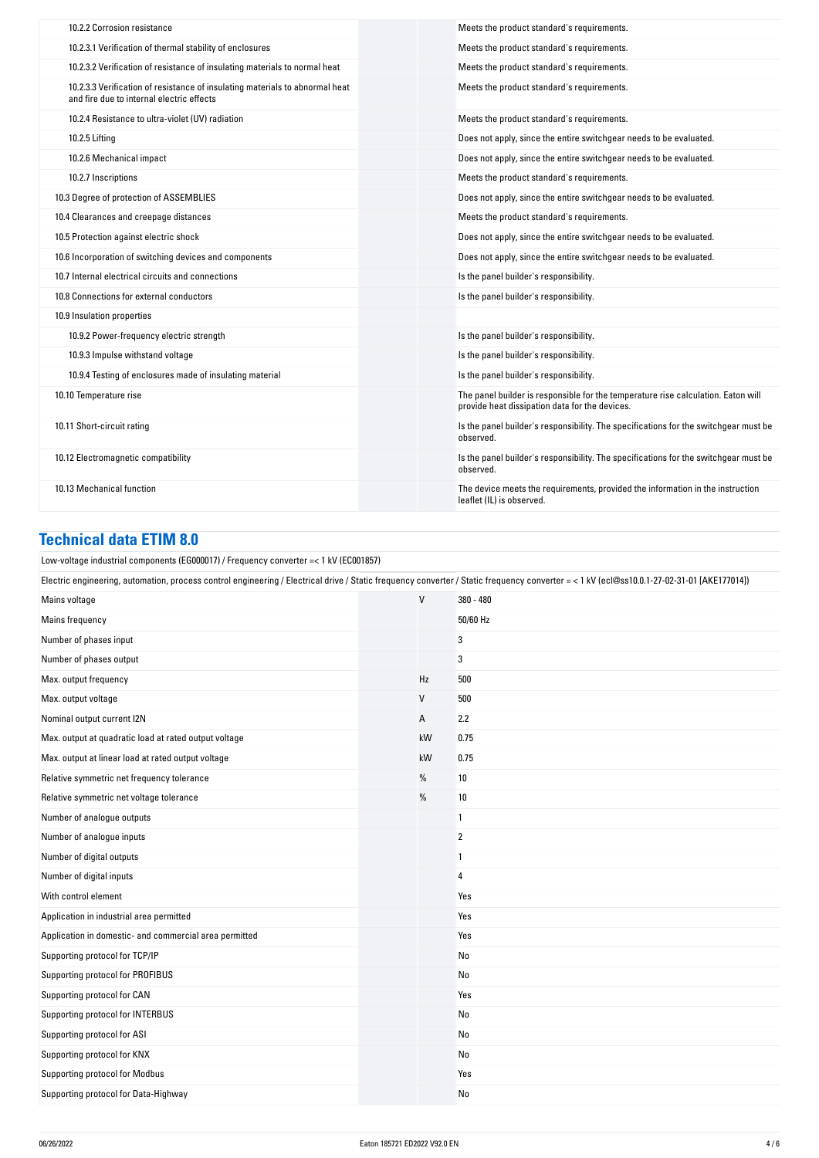| 10.2.2 Corrosion resistance                                                                                               | Meets the product standard's requirements.                                                                                          |
|---------------------------------------------------------------------------------------------------------------------------|-------------------------------------------------------------------------------------------------------------------------------------|
| 10.2.3.1 Verification of thermal stability of enclosures                                                                  | Meets the product standard's requirements.                                                                                          |
| 10.2.3.2 Verification of resistance of insulating materials to normal heat                                                | Meets the product standard's requirements.                                                                                          |
| 10.2.3.3 Verification of resistance of insulating materials to abnormal heat<br>and fire due to internal electric effects | Meets the product standard's requirements.                                                                                          |
| 10.2.4 Resistance to ultra-violet (UV) radiation                                                                          | Meets the product standard's requirements.                                                                                          |
| 10.2.5 Lifting                                                                                                            | Does not apply, since the entire switchgear needs to be evaluated.                                                                  |
| 10.2.6 Mechanical impact                                                                                                  | Does not apply, since the entire switchgear needs to be evaluated.                                                                  |
| 10.2.7 Inscriptions                                                                                                       | Meets the product standard's requirements.                                                                                          |
| 10.3 Degree of protection of ASSEMBLIES                                                                                   | Does not apply, since the entire switchgear needs to be evaluated.                                                                  |
| 10.4 Clearances and creepage distances                                                                                    | Meets the product standard's requirements.                                                                                          |
| 10.5 Protection against electric shock                                                                                    | Does not apply, since the entire switchgear needs to be evaluated.                                                                  |
| 10.6 Incorporation of switching devices and components                                                                    | Does not apply, since the entire switchgear needs to be evaluated.                                                                  |
| 10.7 Internal electrical circuits and connections                                                                         | Is the panel builder's responsibility.                                                                                              |
| 10.8 Connections for external conductors                                                                                  | Is the panel builder's responsibility.                                                                                              |
| 10.9 Insulation properties                                                                                                |                                                                                                                                     |
| 10.9.2 Power-frequency electric strength                                                                                  | Is the panel builder's responsibility.                                                                                              |
| 10.9.3 Impulse withstand voltage                                                                                          | Is the panel builder's responsibility.                                                                                              |
| 10.9.4 Testing of enclosures made of insulating material                                                                  | Is the panel builder's responsibility.                                                                                              |
| 10.10 Temperature rise                                                                                                    | The panel builder is responsible for the temperature rise calculation. Eaton will<br>provide heat dissipation data for the devices. |
| 10.11 Short-circuit rating                                                                                                | Is the panel builder's responsibility. The specifications for the switchgear must be<br>observed.                                   |
| 10.12 Electromagnetic compatibility                                                                                       | Is the panel builder's responsibility. The specifications for the switchgear must be<br>observed.                                   |
| 10.13 Mechanical function                                                                                                 | The device meets the requirements, provided the information in the instruction<br>leaflet (IL) is observed.                         |

## **Technical data ETIM 8.0**

| Technical dala ethni 6.0                                                                                                                                                                   |              |             |  |  |
|--------------------------------------------------------------------------------------------------------------------------------------------------------------------------------------------|--------------|-------------|--|--|
| Low-voltage industrial components (EG000017) / Frequency converter = < 1 kV (EC001857)                                                                                                     |              |             |  |  |
| Electric engineering, automation, process control engineering / Electrical drive / Static frequency converter / Static frequency converter = < 1 kV (ecl@ss10.0.1-27-02-31-01 [AKE177014]) |              |             |  |  |
| Mains voltage                                                                                                                                                                              | $\mathsf{V}$ | $380 - 480$ |  |  |
| Mains frequency                                                                                                                                                                            |              | 50/60 Hz    |  |  |
| Number of phases input                                                                                                                                                                     |              | 3           |  |  |
| Number of phases output                                                                                                                                                                    |              | 3           |  |  |
| Max. output frequency                                                                                                                                                                      | Hz           | 500         |  |  |
| Max. output voltage                                                                                                                                                                        | V            | 500         |  |  |
| Nominal output current I2N                                                                                                                                                                 | А            | 2.2         |  |  |
| Max. output at quadratic load at rated output voltage                                                                                                                                      | kW           | 0.75        |  |  |
| Max. output at linear load at rated output voltage                                                                                                                                         | kW           | 0.75        |  |  |
| Relative symmetric net frequency tolerance                                                                                                                                                 | %            | 10          |  |  |
| Relative symmetric net voltage tolerance                                                                                                                                                   | %            | 10          |  |  |
| Number of analogue outputs                                                                                                                                                                 |              | 1           |  |  |
| Number of analogue inputs                                                                                                                                                                  |              | 2           |  |  |
| Number of digital outputs                                                                                                                                                                  |              | 1           |  |  |
| Number of digital inputs                                                                                                                                                                   |              | 4           |  |  |
| With control element                                                                                                                                                                       |              | Yes         |  |  |
| Application in industrial area permitted                                                                                                                                                   |              | Yes         |  |  |
| Application in domestic- and commercial area permitted                                                                                                                                     |              | Yes         |  |  |
| Supporting protocol for TCP/IP                                                                                                                                                             |              | No          |  |  |
| Supporting protocol for PROFIBUS                                                                                                                                                           |              | No          |  |  |
| Supporting protocol for CAN                                                                                                                                                                |              | Yes         |  |  |
| Supporting protocol for INTERBUS                                                                                                                                                           |              | No          |  |  |
| Supporting protocol for ASI                                                                                                                                                                |              | No          |  |  |
| Supporting protocol for KNX                                                                                                                                                                |              | No          |  |  |
| Supporting protocol for Modbus                                                                                                                                                             |              | Yes         |  |  |
| Supporting protocol for Data-Highway                                                                                                                                                       |              | No          |  |  |
|                                                                                                                                                                                            |              |             |  |  |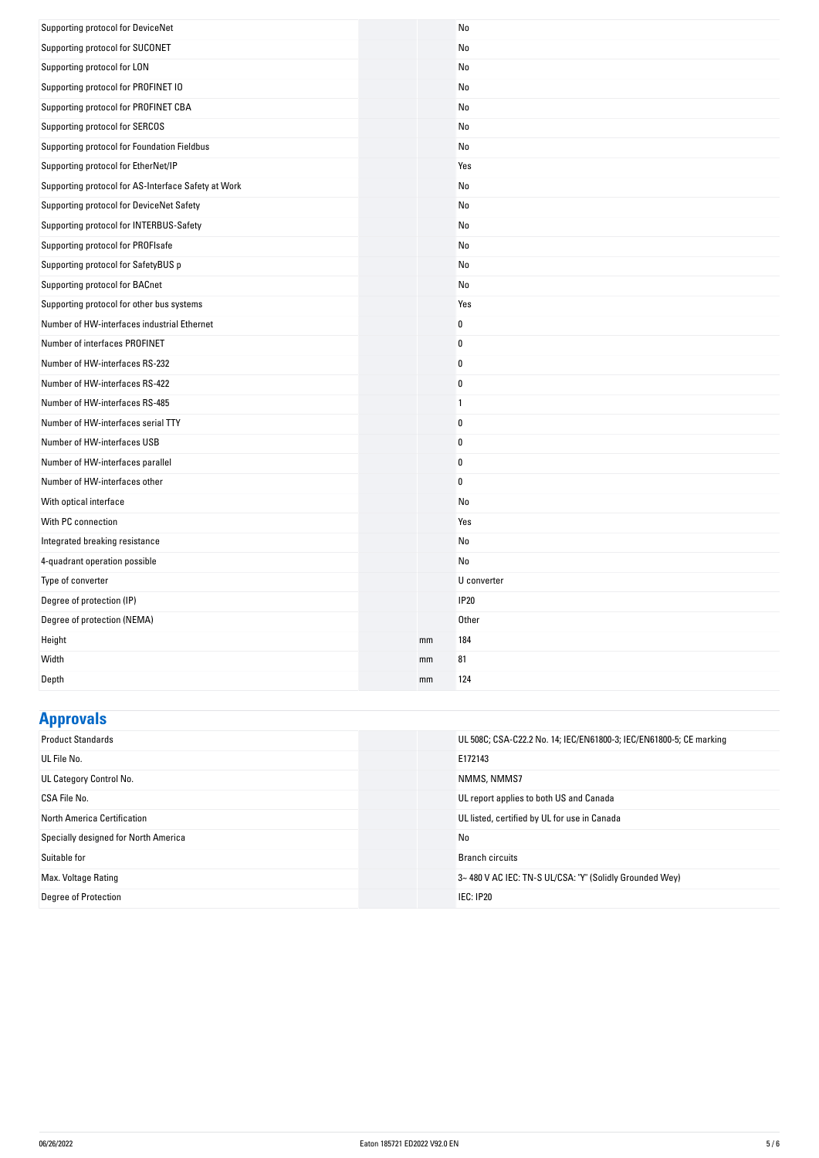| Supporting protocol for DeviceNet                   |    | No             |
|-----------------------------------------------------|----|----------------|
| Supporting protocol for SUCONET                     |    | No             |
| Supporting protocol for LON                         |    | No             |
| Supporting protocol for PROFINET IO                 |    | No             |
| Supporting protocol for PROFINET CBA                |    | No             |
| Supporting protocol for SERCOS                      |    | No             |
| Supporting protocol for Foundation Fieldbus         |    | No             |
| Supporting protocol for EtherNet/IP                 |    | Yes            |
| Supporting protocol for AS-Interface Safety at Work |    | No             |
| Supporting protocol for DeviceNet Safety            |    | No             |
| Supporting protocol for INTERBUS-Safety             |    | No             |
| Supporting protocol for PROFIsafe                   |    | No             |
| Supporting protocol for SafetyBUS p                 |    | No             |
| Supporting protocol for BACnet                      |    | No             |
| Supporting protocol for other bus systems           |    | Yes            |
| Number of HW-interfaces industrial Ethernet         |    | 0              |
| Number of interfaces PROFINET                       |    | $\bf{0}$       |
| Number of HW-interfaces RS-232                      |    | 0              |
| Number of HW-interfaces RS-422                      |    | 0              |
| Number of HW-interfaces RS-485                      |    | $\overline{1}$ |
| Number of HW-interfaces serial TTY                  |    | $\mathbf 0$    |
| Number of HW-interfaces USB                         |    | $\mathbf 0$    |
| Number of HW-interfaces parallel                    |    | $\mathbf 0$    |
| Number of HW-interfaces other                       |    | $\mathbf 0$    |
| With optical interface                              |    | No             |
| With PC connection                                  |    | Yes            |
| Integrated breaking resistance                      |    | No             |
| 4-quadrant operation possible                       |    | No             |
| Type of converter                                   |    | U converter    |
| Degree of protection (IP)                           |    | <b>IP20</b>    |
| Degree of protection (NEMA)                         |    | <b>Other</b>   |
| Height                                              | mm | 184            |
| Width                                               | mm | 81             |
| Depth                                               | mm | 124            |

## **Approvals**

| UL 508C; CSA-C22.2 No. 14; IEC/EN61800-3; IEC/EN61800-5; CE marking |
|---------------------------------------------------------------------|
| E172143                                                             |
| NMMS, NMMS7                                                         |
| UL report applies to both US and Canada                             |
| UL listed, certified by UL for use in Canada                        |
| No                                                                  |
| <b>Branch circuits</b>                                              |
| 3~480 V AC IEC: TN-S UL/CSA: "Y" (Solidly Grounded Wey)             |
| IEC: IP20                                                           |
|                                                                     |